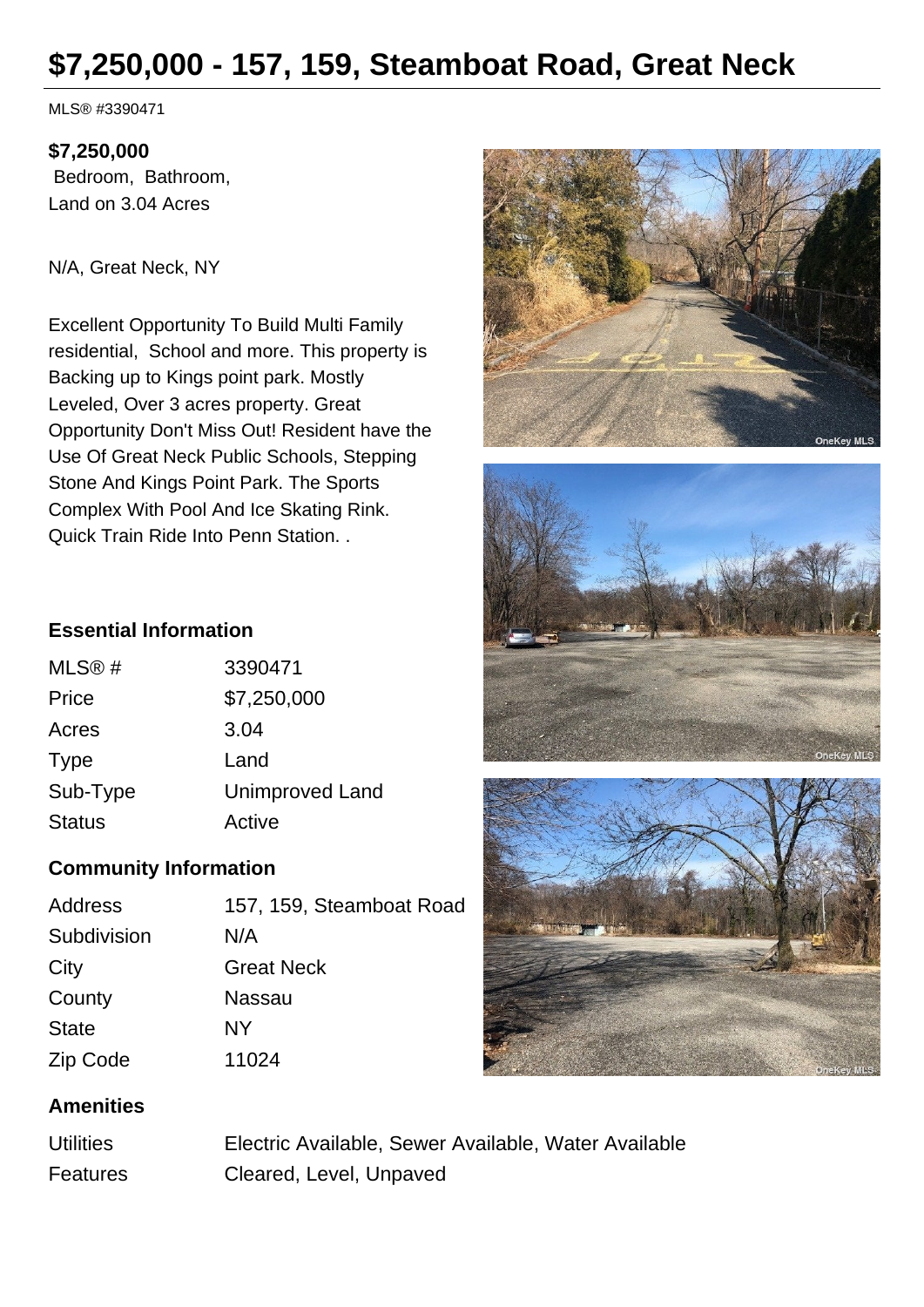# **\$7,250,000 - 157, 159, Steamboat Road, Great Neck**

MLS® #3390471

#### **\$7,250,000**

 Bedroom, Bathroom, Land on 3.04 Acres

N/A, Great Neck, NY

Excellent Opportunity To Build Multi Family residential, School and more. This property is Backing up to Kings point park. Mostly Leveled, Over 3 acres property. Great Opportunity Don't Miss Out! Resident have the Use Of Great Neck Public Schools, Stepping Stone And Kings Point Park. The Sports Complex With Pool And Ice Skating Rink. Quick Train Ride Into Penn Station. .







#### **Essential Information**

| <b>Unimproved Land</b> |
|------------------------|
|                        |
|                        |

## **Community Information**

| Address      | 157, 159, Steamboat Road |
|--------------|--------------------------|
| Subdivision  | N/A                      |
| City         | <b>Great Neck</b>        |
| County       | Nassau                   |
| <b>State</b> | NY                       |
| Zip Code     | 11024                    |

## **Amenities**

| <b>Utilities</b> | Electric Available, Sewer Available, Water Available |
|------------------|------------------------------------------------------|
| Features         | Cleared, Level, Unpaved                              |